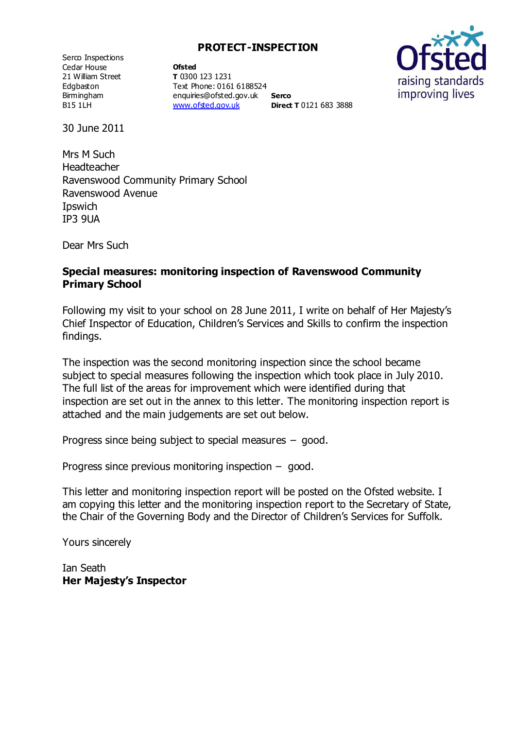Serco Inspections Cedar House 21 William Street Edgbaston Birmingham B15 1LH

**Ofsted T** 0300 123 1231 Text Phone: 0161 6188524 enquiries@ofsted.gov.uk [www.ofsted.gov.uk](http://www.ofsted.gov.uk/) **Serco Direct T** 0121 683 3888



30 June 2011

Mrs M Such Headteacher Ravenswood Community Primary School Ravenswood Avenue Ipswich IP3 9UA

Dear Mrs Such

### **Special measures: monitoring inspection of Ravenswood Community Primary School**

Following my visit to your school on 28 June 2011, I write on behalf of Her Majesty's Chief Inspector of Education, Children's Services and Skills to confirm the inspection findings.

The inspection was the second monitoring inspection since the school became subject to special measures following the inspection which took place in July 2010. The full list of the areas for improvement which were identified during that inspection are set out in the annex to this letter. The monitoring inspection report is attached and the main judgements are set out below.

Progress since being subject to special measures – good.

Progress since previous monitoring inspection – good.

This letter and monitoring inspection report will be posted on the Ofsted website. I am copying this letter and the monitoring inspection report to the Secretary of State, the Chair of the Governing Body and the Director of Children's Services for Suffolk.

Yours sincerely

Ian Seath **Her Majesty's Inspector**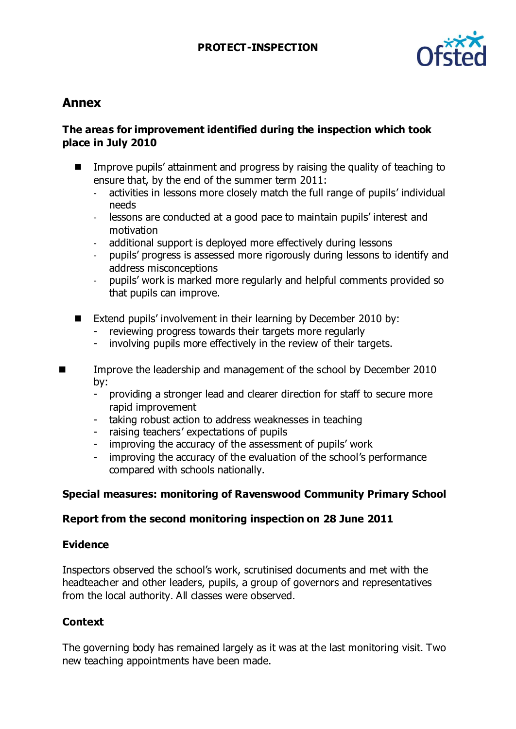

# **Annex**

### **The areas for improvement identified during the inspection which took place in July 2010**

- Improve pupils' attainment and progress by raising the quality of teaching to ensure that, by the end of the summer term 2011:
	- activities in lessons more closely match the full range of pupils' individual needs
	- lessons are conducted at a good pace to maintain pupils' interest and motivation
	- additional support is deployed more effectively during lessons
	- pupils' progress is assessed more rigorously during lessons to identify and address misconceptions
	- pupils' work is marked more regularly and helpful comments provided so that pupils can improve.
- Extend pupils' involvement in their learning by December 2010 by:
	- reviewing progress towards their targets more regularly
	- involving pupils more effectively in the review of their targets.
- Improve the leadership and management of the school by December 2010 by:
	- providing a stronger lead and clearer direction for staff to secure more rapid improvement
	- taking robust action to address weaknesses in teaching
	- raising teachers' expectations of pupils
	- improving the accuracy of the assessment of pupils' work
	- improving the accuracy of the evaluation of the school's performance compared with schools nationally.

## **Special measures: monitoring of Ravenswood Community Primary School**

### **Report from the second monitoring inspection on 28 June 2011**

### **Evidence**

Inspectors observed the school's work, scrutinised documents and met with the headteacher and other leaders, pupils, a group of governors and representatives from the local authority. All classes were observed.

## **Context**

The governing body has remained largely as it was at the last monitoring visit. Two new teaching appointments have been made.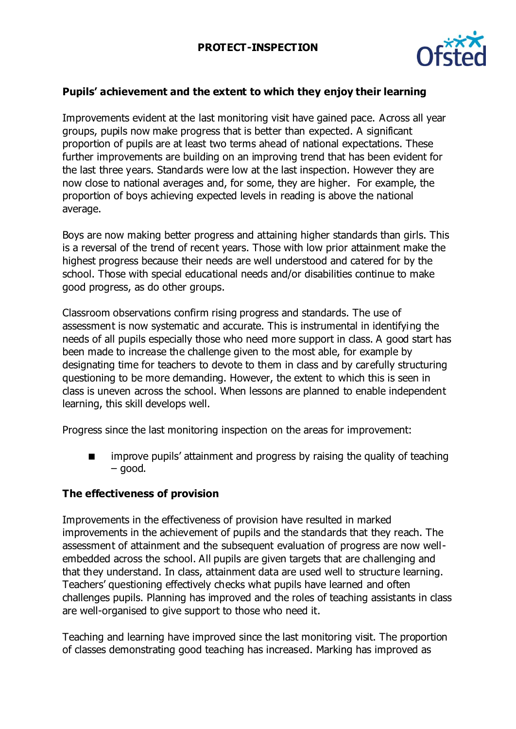

## **Pupils' achievement and the extent to which they enjoy their learning**

Improvements evident at the last monitoring visit have gained pace. Across all year groups, pupils now make progress that is better than expected. A significant proportion of pupils are at least two terms ahead of national expectations. These further improvements are building on an improving trend that has been evident for the last three years. Standards were low at the last inspection. However they are now close to national averages and, for some, they are higher. For example, the proportion of boys achieving expected levels in reading is above the national average.

Boys are now making better progress and attaining higher standards than girls. This is a reversal of the trend of recent years. Those with low prior attainment make the highest progress because their needs are well understood and catered for by the school. Those with special educational needs and/or disabilities continue to make good progress, as do other groups.

Classroom observations confirm rising progress and standards. The use of assessment is now systematic and accurate. This is instrumental in identifying the needs of all pupils especially those who need more support in class. A good start has been made to increase the challenge given to the most able, for example by designating time for teachers to devote to them in class and by carefully structuring questioning to be more demanding. However, the extent to which this is seen in class is uneven across the school. When lessons are planned to enable independent learning, this skill develops well.

Progress since the last monitoring inspection on the areas for improvement:

**If** improve pupils' attainment and progress by raising the quality of teaching – good.

### **The effectiveness of provision**

Improvements in the effectiveness of provision have resulted in marked improvements in the achievement of pupils and the standards that they reach. The assessment of attainment and the subsequent evaluation of progress are now wellembedded across the school. All pupils are given targets that are challenging and that they understand. In class, attainment data are used well to structure learning. Teachers' questioning effectively checks what pupils have learned and often challenges pupils. Planning has improved and the roles of teaching assistants in class are well-organised to give support to those who need it.

Teaching and learning have improved since the last monitoring visit. The proportion of classes demonstrating good teaching has increased. Marking has improved as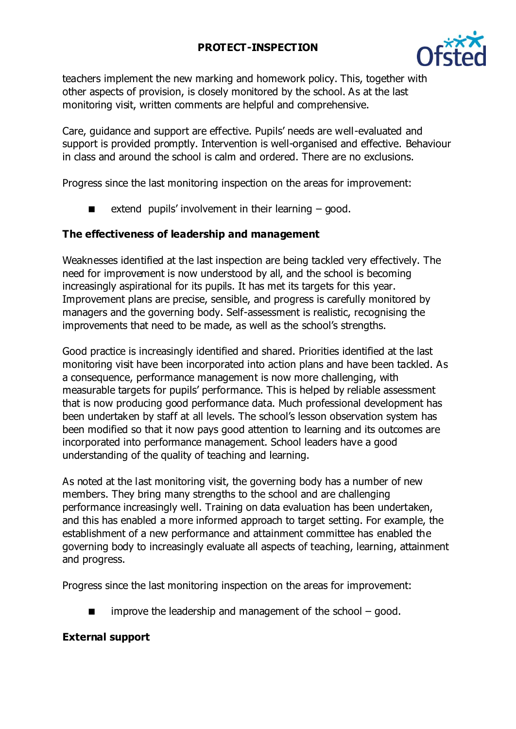

teachers implement the new marking and homework policy. This, together with other aspects of provision, is closely monitored by the school. As at the last monitoring visit, written comments are helpful and comprehensive.

Care, guidance and support are effective. Pupils' needs are well-evaluated and support is provided promptly. Intervention is well-organised and effective. Behaviour in class and around the school is calm and ordered. There are no exclusions.

Progress since the last monitoring inspection on the areas for improvement:

extend pupils' involvement in their learning – good.

### **The effectiveness of leadership and management**

Weaknesses identified at the last inspection are being tackled very effectively. The need for improvement is now understood by all, and the school is becoming increasingly aspirational for its pupils. It has met its targets for this year. Improvement plans are precise, sensible, and progress is carefully monitored by managers and the governing body. Self-assessment is realistic, recognising the improvements that need to be made, as well as the school's strengths.

Good practice is increasingly identified and shared. Priorities identified at the last monitoring visit have been incorporated into action plans and have been tackled. As a consequence, performance management is now more challenging, with measurable targets for pupils' performance. This is helped by reliable assessment that is now producing good performance data. Much professional development has been undertaken by staff at all levels. The school's lesson observation system has been modified so that it now pays good attention to learning and its outcomes are incorporated into performance management. School leaders have a good understanding of the quality of teaching and learning.

As noted at the last monitoring visit, the governing body has a number of new members. They bring many strengths to the school and are challenging performance increasingly well. Training on data evaluation has been undertaken, and this has enabled a more informed approach to target setting. For example, the establishment of a new performance and attainment committee has enabled the governing body to increasingly evaluate all aspects of teaching, learning, attainment and progress.

Progress since the last monitoring inspection on the areas for improvement:

improve the leadership and management of the school – good.

### **External support**